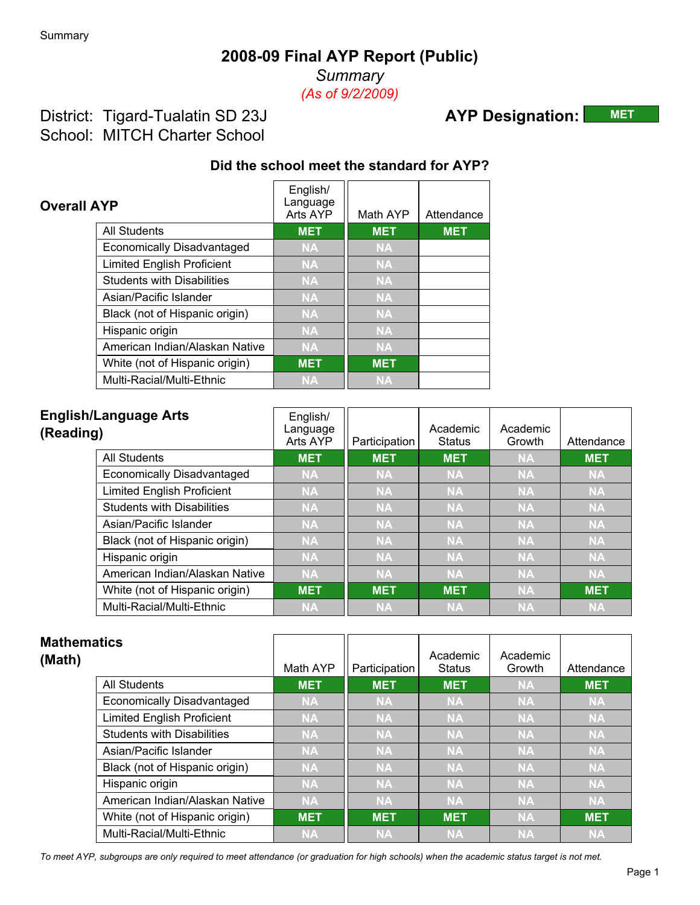*Summary (As of 9/2/2009)*

### District: Tigard-Tualatin SD 23J School: MITCH Charter School

# **AYP Designation: MET**

#### **Did the school meet the standard for AYP?**

| <b>Overall AYP</b> |                                   | English/<br>Language<br>Arts AYP | Math AYP   | Attendance |
|--------------------|-----------------------------------|----------------------------------|------------|------------|
|                    | <b>All Students</b>               | <b>MET</b>                       | <b>MET</b> | <b>MET</b> |
|                    | Economically Disadvantaged        | <b>NA</b>                        | <b>NA</b>  |            |
|                    | <b>Limited English Proficient</b> | <b>NA</b>                        | <b>NA</b>  |            |
|                    | <b>Students with Disabilities</b> | <b>NA</b>                        | <b>NA</b>  |            |
|                    | Asian/Pacific Islander            | <b>NA</b>                        | <b>NA</b>  |            |
|                    | Black (not of Hispanic origin)    | <b>NA</b>                        | <b>NA</b>  |            |
|                    | Hispanic origin                   | <b>NA</b>                        | <b>NA</b>  |            |
|                    | American Indian/Alaskan Native    | <b>NA</b>                        | <b>NA</b>  |            |
|                    | White (not of Hispanic origin)    | <b>MET</b>                       | <b>MET</b> |            |
|                    | Multi-Racial/Multi-Ethnic         | <b>NA</b>                        | <b>NA</b>  |            |

| (Reading) | <b>English/Language Arts</b>      | English/<br>Language<br>Arts AYP | Participation | Academic<br><b>Status</b> | Academic<br>Growth | Attendance |
|-----------|-----------------------------------|----------------------------------|---------------|---------------------------|--------------------|------------|
|           | <b>All Students</b>               | <b>MET</b>                       | <b>MET</b>    | <b>MET</b>                | <b>NA</b>          | <b>MET</b> |
|           | Economically Disadvantaged        | <b>NA</b>                        | <b>NA</b>     | <b>NA</b>                 | <b>NA</b>          | <b>NA</b>  |
|           | <b>Limited English Proficient</b> | <b>NA</b>                        | <b>NA</b>     | <b>NA</b>                 | <b>NA</b>          | <b>NA</b>  |
|           | <b>Students with Disabilities</b> | <b>NA</b>                        | <b>NA</b>     | <b>NA</b>                 | <b>NA</b>          | <b>NA</b>  |
|           | Asian/Pacific Islander            | <b>NA</b>                        | <b>NA</b>     | <b>NA</b>                 | <b>NA</b>          | <b>NA</b>  |
|           | Black (not of Hispanic origin)    | <b>NA</b>                        | <b>NA</b>     | <b>NA</b>                 | <b>NA</b>          | <b>NA</b>  |
|           | Hispanic origin                   | <b>NA</b>                        | <b>NA</b>     | <b>NA</b>                 | <b>NA</b>          | <b>NA</b>  |
|           | American Indian/Alaskan Native    | <b>NA</b>                        | <b>NA</b>     | <b>NA</b>                 | <b>NA</b>          | <b>NA</b>  |
|           | White (not of Hispanic origin)    | <b>MET</b>                       | <b>MET</b>    | <b>MET</b>                | <b>NA</b>          | <b>MET</b> |
|           | Multi-Racial/Multi-Ethnic         | <b>NA</b>                        | <b>NA</b>     | <b>NA</b>                 | <b>NA</b>          | <b>NA</b>  |

| <b>Mathematics</b><br>(Math) |                                   | Math AYP   | Participation | Academic<br><b>Status</b> | Academic<br>Growth | Attendance      |
|------------------------------|-----------------------------------|------------|---------------|---------------------------|--------------------|-----------------|
|                              | <b>All Students</b>               | <b>MET</b> | <b>MET</b>    | <b>MET</b>                | <b>NA</b>          | <b>MET</b>      |
|                              | <b>Economically Disadvantaged</b> | <b>NA</b>  | <b>NA</b>     | <b>NA</b>                 | <b>NA</b>          | <b>NA</b>       |
|                              | <b>Limited English Proficient</b> | <b>NA</b>  | <b>NA</b>     | <b>NA</b>                 | <b>NA</b>          | <b>NA</b>       |
|                              | <b>Students with Disabilities</b> | <b>NA</b>  | <b>NA</b>     | <b>NA</b>                 | <b>NA</b>          | <b>NA</b>       |
|                              | Asian/Pacific Islander            | <b>NA</b>  | <b>NA</b>     | <b>NA</b>                 | <b>NA</b>          | <b>NA</b>       |
|                              | Black (not of Hispanic origin)    | <b>NA</b>  | <b>NA</b>     | <b>NA</b>                 | <b>NA</b>          | <b>NA</b>       |
|                              | Hispanic origin                   | <b>NA</b>  | <b>NA</b>     | <b>NA</b>                 | <b>NA</b>          | <b>NA</b>       |
|                              | American Indian/Alaskan Native    | <b>NA</b>  | <b>NA</b>     | <b>NA</b>                 | <b>NA</b>          | NA <sup>1</sup> |
|                              | White (not of Hispanic origin)    | <b>MET</b> | <b>MET</b>    | <b>MET</b>                | <b>NA</b>          | <b>MET</b>      |
|                              | Multi-Racial/Multi-Ethnic         | <b>NA</b>  | <b>NA</b>     | <b>NA</b>                 | <b>NA</b>          | <b>NA</b>       |

*To meet AYP, subgroups are only required to meet attendance (or graduation for high schools) when the academic status target is not met.*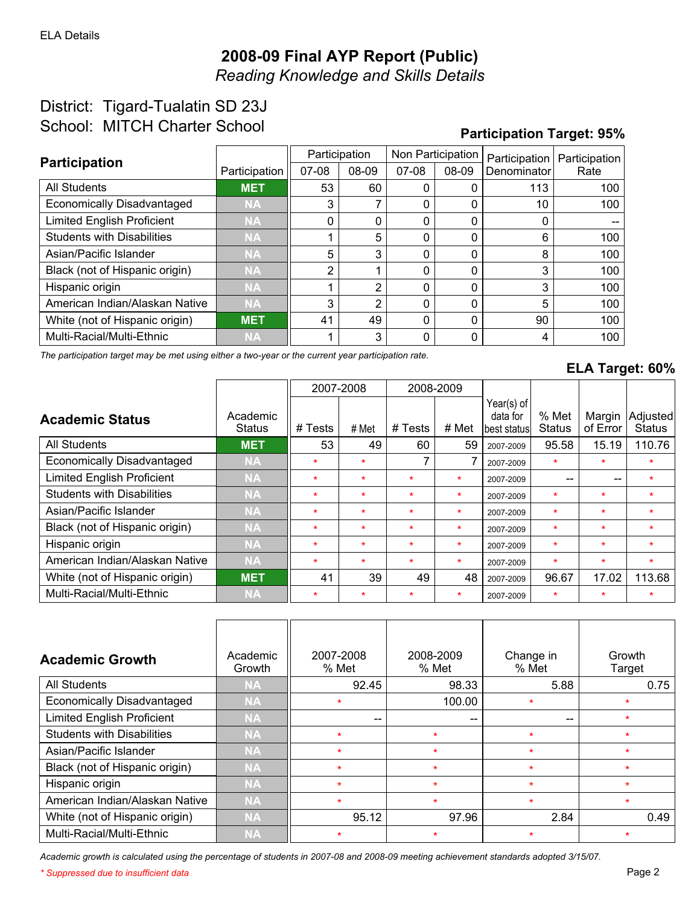*Reading Knowledge and Skills Details*

## District: Tigard-Tualatin SD 23J School: MITCH Charter School

#### **Participation Target: 95%**

| <b>Participation</b>              |               |          | Participation | Non Participation |          | Participation | Participation |
|-----------------------------------|---------------|----------|---------------|-------------------|----------|---------------|---------------|
|                                   | Participation | $07-08$  | 08-09         | $07-08$           | 08-09    | Denominator   | Rate          |
| All Students                      | <b>MET</b>    | 53       | 60            |                   |          | 113           | 100           |
| <b>Economically Disadvantaged</b> | <b>NA</b>     | 3        |               | 0                 | 0        | 10            | 100           |
| <b>Limited English Proficient</b> | <b>NA</b>     | $\Omega$ |               | 0                 | 0        | 0             |               |
| <b>Students with Disabilities</b> | <b>NA</b>     |          | 5             | $\Omega$          | 0        | 6             | 100           |
| Asian/Pacific Islander            | <b>NA</b>     | 5        | 3             | 0                 | 0        | 8             | 100           |
| Black (not of Hispanic origin)    | <b>NA</b>     | 2        |               | $\Omega$          | 0        | 3             | 100           |
| Hispanic origin                   | <b>NA</b>     |          | 2             | $\Omega$          | $\Omega$ | 3             | 100           |
| American Indian/Alaskan Native    | <b>NA</b>     | 3        | 2             | 0                 | 0        | 5             | 100           |
| White (not of Hispanic origin)    | <b>MET</b>    | 41       | 49            | 0                 | 0        | 90            | 100           |
| Multi-Racial/Multi-Ethnic         | <b>NA</b>     |          | 3             | 0                 | 0        | 4             | 100           |

*The participation target may be met using either a two-year or the current year participation rate.*

#### **ELA Target: 60%**

|                                   |                           | 2007-2008 |         |         | 2008-2009 |                                         |                        |                    |                            |
|-----------------------------------|---------------------------|-----------|---------|---------|-----------|-----------------------------------------|------------------------|--------------------|----------------------------|
| <b>Academic Status</b>            | Academic<br><b>Status</b> | # Tests   | # Met   | # Tests | # Met     | Year(s) of<br>data for<br>lbest statusl | % Met<br><b>Status</b> | Margin<br>of Error | Adjusted <br><b>Status</b> |
| All Students                      | <b>MET</b>                | 53        | 49      | 60      | 59        | 2007-2009                               | 95.58                  | 15.19              | 110.76                     |
| <b>Economically Disadvantaged</b> | <b>NA</b>                 | $\star$   | $\star$ |         |           | 2007-2009                               | $\star$                | $\star$            | $\star$                    |
| <b>Limited English Proficient</b> | <b>NA</b>                 | $\star$   | $\star$ | $\star$ | $\star$   | 2007-2009                               | $- -$                  | --                 | $\star$                    |
| <b>Students with Disabilities</b> | <b>NA</b>                 | $\star$   | $\star$ | $\star$ | $\star$   | 2007-2009                               | $\star$                | $\star$            | $\star$                    |
| Asian/Pacific Islander            | <b>NA</b>                 | $\star$   | $\star$ | $\star$ | $\star$   | 2007-2009                               | $\star$                | $\star$            | $\star$                    |
| Black (not of Hispanic origin)    | <b>NA</b>                 | $\star$   | $\star$ | $\star$ | $\star$   | 2007-2009                               | $\star$                | $\star$            | $\star$                    |
| Hispanic origin                   | <b>NA</b>                 | $\star$   | $\star$ | $\star$ | $\star$   | 2007-2009                               | $\star$                | $\star$            | $\star$                    |
| American Indian/Alaskan Native    | <b>NA</b>                 | $\star$   | $\star$ | $\star$ | $\star$   | 2007-2009                               | $\star$                | $\star$            | $\star$                    |
| White (not of Hispanic origin)    | <b>MET</b>                | 41        | 39      | 49      | 48        | 2007-2009                               | 96.67                  | 17.02              | 113.68                     |
| Multi-Racial/Multi-Ethnic         | <b>NA</b>                 | $\star$   | $\star$ | $\ast$  | $\star$   | 2007-2009                               | $\ast$                 | $\ast$             | $\ast$                     |

| <b>Academic Growth</b>            | Academic<br>Growth | 2007-2008<br>% Met | 2008-2009<br>% Met | Change in<br>% Met | Growth<br>Target |
|-----------------------------------|--------------------|--------------------|--------------------|--------------------|------------------|
| All Students                      | <b>NA</b>          | 92.45              | 98.33              | 5.88               | 0.75             |
| <b>Economically Disadvantaged</b> | <b>NA</b>          | ÷                  | 100.00             | $\star$            |                  |
| <b>Limited English Proficient</b> | <b>NA</b>          | --                 | --                 | $- -$              | ÷                |
| <b>Students with Disabilities</b> | <b>NA</b>          | $\star$            | $\star$            | $\star$            | $\star$          |
| Asian/Pacific Islander            | <b>NA</b>          | $\star$            | $\star$            | $\star$            |                  |
| Black (not of Hispanic origin)    | <b>NA</b>          | $\star$            | $\star$            | $\star$            |                  |
| Hispanic origin                   | <b>NA</b>          | $\star$            | $\star$            | $\star$            | 4                |
| American Indian/Alaskan Native    | <b>NA</b>          | $\star$            | $\star$            | $\star$            | ÷                |
| White (not of Hispanic origin)    | <b>NA</b>          | 95.12              | 97.96              | 2.84               | 0.49             |
| Multi-Racial/Multi-Ethnic         | <b>NA</b>          | $\star$            | $\star$            | $\star$            |                  |

*Academic growth is calculated using the percentage of students in 2007-08 and 2008-09 meeting achievement standards adopted 3/15/07.*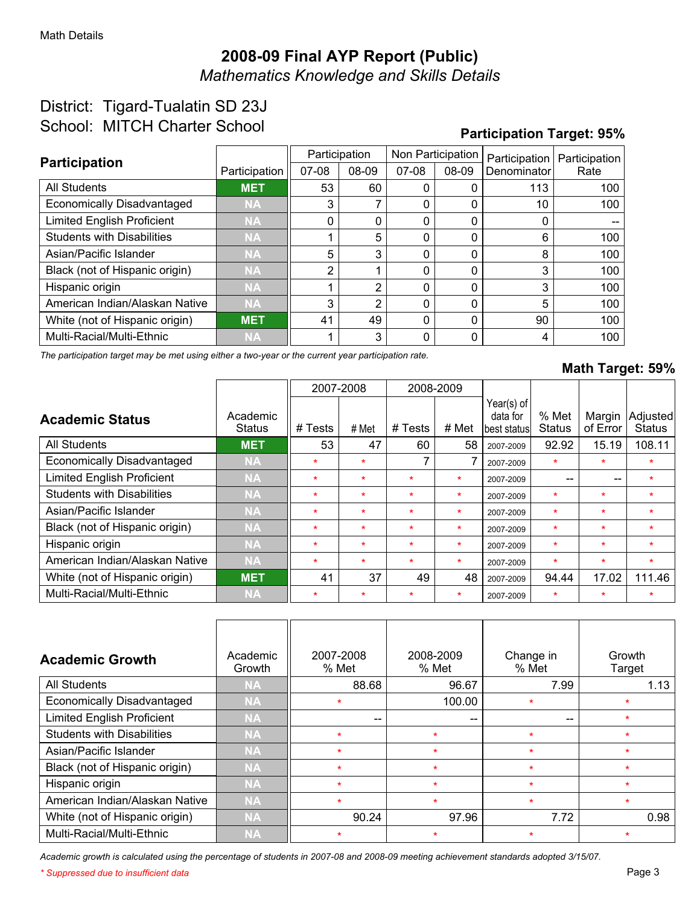*Mathematics Knowledge and Skills Details*

### District: Tigard-Tualatin SD 23J School: MITCH Charter School

#### **Participation Target: 95%**

| <b>Participation</b>              |               |                | Participation | Non Participation |       | Participation | Participation |
|-----------------------------------|---------------|----------------|---------------|-------------------|-------|---------------|---------------|
|                                   | Participation | $07-08$        | 08-09         | $07-08$           | 08-09 | Denominator   | Rate          |
| <b>All Students</b>               | <b>MET</b>    | 53             | 60            |                   |       | 113           | 100           |
| <b>Economically Disadvantaged</b> | <b>NA</b>     | 3              |               |                   |       | 10            | 100           |
| <b>Limited English Proficient</b> | <b>NA</b>     | 0              | 0             |                   |       | 0             |               |
| <b>Students with Disabilities</b> | <b>NA</b>     |                | 5             | 0                 | 0     | 6             | 100           |
| Asian/Pacific Islander            | <b>NA</b>     | 5              | 3             | $\Omega$          | 0     | 8             | 100           |
| Black (not of Hispanic origin)    | <b>NA</b>     | $\overline{2}$ |               | 0                 | 0     | 3             | 100           |
| Hispanic origin                   | <b>NA</b>     |                | 2             |                   | 0     | 3             | 100           |
| American Indian/Alaskan Native    | <b>NA</b>     | 3              | 2             | <sup>0</sup>      | 0     | 5             | 100           |
| White (not of Hispanic origin)    | <b>MET</b>    | 41             | 49            | $\Omega$          | 0     | 90            | 100           |
| Multi-Racial/Multi-Ethnic         | <b>NA</b>     |                | 3             | <sup>0</sup>      | 0     | 4             | 100           |

*The participation target may be met using either a two-year or the current year participation rate.*

#### **Math Target: 59%**

|                                   |                           |         | 2007-2008 |         | 2008-2009 |                                        |                        |                    |                            |
|-----------------------------------|---------------------------|---------|-----------|---------|-----------|----------------------------------------|------------------------|--------------------|----------------------------|
| <b>Academic Status</b>            | Academic<br><b>Status</b> | # Tests | # Met     | # Tests | # Met     | Year(s) of<br>data for<br>best statusl | % Met<br><b>Status</b> | Margin<br>of Error | Adjusted <br><b>Status</b> |
| <b>All Students</b>               | <b>MET</b>                | 53      | 47        | 60      | 58        | 2007-2009                              | 92.92                  | 15.19              | 108.11                     |
| <b>Economically Disadvantaged</b> | <b>NA</b>                 | $\star$ | $\star$   |         |           | 2007-2009                              | $\star$                | $\star$            | $\star$                    |
| <b>Limited English Proficient</b> | <b>NA</b>                 | $\star$ | $\star$   | $\star$ | $\star$   | 2007-2009                              | --                     | --                 | $\star$                    |
| <b>Students with Disabilities</b> | <b>NA</b>                 | $\star$ | $\star$   | $\star$ | $\star$   | 2007-2009                              | $\star$                | $\star$            | $\star$                    |
| Asian/Pacific Islander            | <b>NA</b>                 | $\star$ | $\star$   | $\star$ | $\star$   | 2007-2009                              | $\star$                | $\star$            | $\star$                    |
| Black (not of Hispanic origin)    | <b>NA</b>                 | $\star$ | $\star$   | $\star$ | $\star$   | 2007-2009                              | $\star$                | $\star$            | $\star$                    |
| Hispanic origin                   | <b>NA</b>                 | $\star$ | $\star$   | $\star$ | $\star$   | 2007-2009                              | $\ast$                 | $\ast$             | $\star$                    |
| American Indian/Alaskan Native    | <b>NA</b>                 | $\star$ | $\star$   | $\star$ | $\star$   | 2007-2009                              | $\star$                | $\star$            | $\star$                    |
| White (not of Hispanic origin)    | <b>MET</b>                | 41      | 37        | 49      | 48        | 2007-2009                              | 94.44                  | 17.02              | 111.46                     |
| Multi-Racial/Multi-Ethnic         | <b>NA</b>                 | $\star$ | $\star$   | $\star$ | $\star$   | 2007-2009                              | $\star$                | $\star$            | $\star$                    |

| <b>Academic Growth</b>            | Academic<br>Growth | 2007-2008<br>% Met | 2008-2009<br>% Met | Change in<br>% Met | Growth<br>Target |
|-----------------------------------|--------------------|--------------------|--------------------|--------------------|------------------|
| <b>All Students</b>               | <b>NA</b>          | 88.68              | 96.67              | 7.99               | 1.13             |
| <b>Economically Disadvantaged</b> | <b>NA</b>          | $\star$            | 100.00             | ÷                  |                  |
| <b>Limited English Proficient</b> | <b>NA</b>          |                    | --                 | $- -$              | $\star$          |
| <b>Students with Disabilities</b> | <b>NA</b>          | $\star$            | $\star$            | $\star$            | $\star$          |
| Asian/Pacific Islander            | <b>NA</b>          | $\star$            | $\star$            | $\star$            | $\star$          |
| Black (not of Hispanic origin)    | <b>NA</b>          | $\star$            | $\star$            | $\star$            | $\star$          |
| Hispanic origin                   | <b>NA</b>          | $\star$            | $\star$            | $\star$            | $\star$          |
| American Indian/Alaskan Native    | <b>NA</b>          | $\star$            | $\star$            | $\star$            |                  |
| White (not of Hispanic origin)    | <b>NA</b>          | 90.24              | 97.96              | 7.72               | 0.98             |
| Multi-Racial/Multi-Ethnic         | <b>NA</b>          | $\star$            | $\star$            |                    |                  |

*Academic growth is calculated using the percentage of students in 2007-08 and 2008-09 meeting achievement standards adopted 3/15/07.*